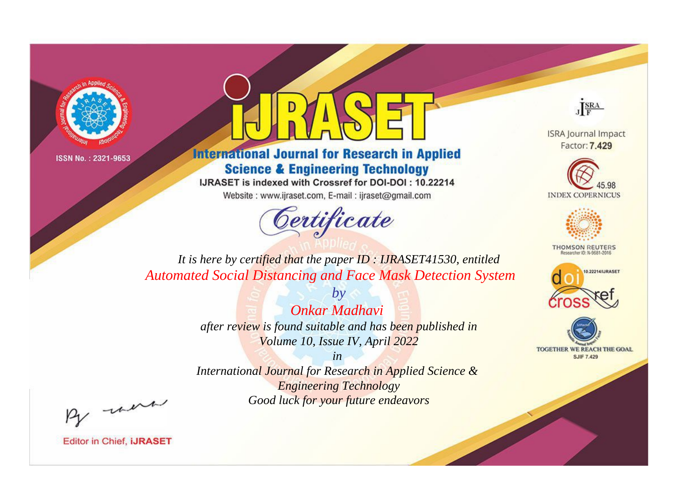



**International Journal for Research in Applied Science & Engineering Technology** 

IJRASET is indexed with Crossref for DOI-DOI: 10.22214

Website: www.ijraset.com, E-mail: ijraset@gmail.com



JERA

**ISRA Journal Impact** Factor: 7.429





**THOMSON REUTERS** 



TOGETHER WE REACH THE GOAL **SJIF 7.429** 

*It is here by certified that the paper ID : IJRASET41530, entitled Automated Social Distancing and Face Mask Detection System*

> *Onkar Madhavi after review is found suitable and has been published in Volume 10, Issue IV, April 2022*

*by*

*in* 

*International Journal for Research in Applied Science & Engineering Technology Good luck for your future endeavors*

By morn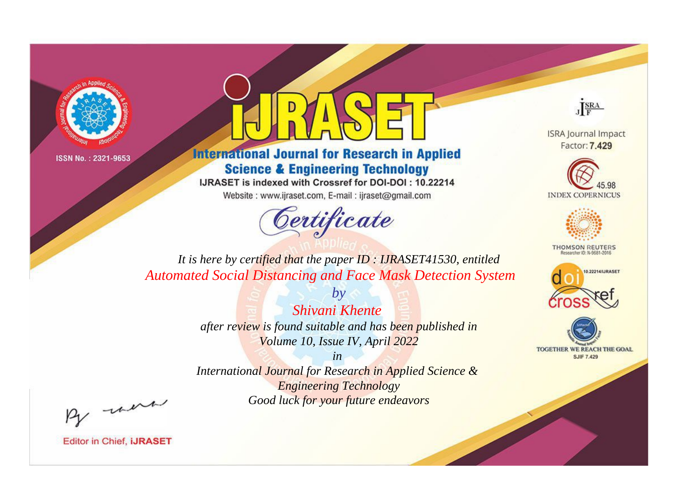



**International Journal for Research in Applied Science & Engineering Technology** 

IJRASET is indexed with Crossref for DOI-DOI: 10.22214

Website: www.ijraset.com, E-mail: ijraset@gmail.com



JERA

**ISRA Journal Impact** Factor: 7.429





**THOMSON REUTERS** 



TOGETHER WE REACH THE GOAL **SJIF 7.429** 

*It is here by certified that the paper ID : IJRASET41530, entitled Automated Social Distancing and Face Mask Detection System*

> *Shivani Khente after review is found suitable and has been published in Volume 10, Issue IV, April 2022*

*by*

*in* 

*International Journal for Research in Applied Science & Engineering Technology Good luck for your future endeavors*

By morn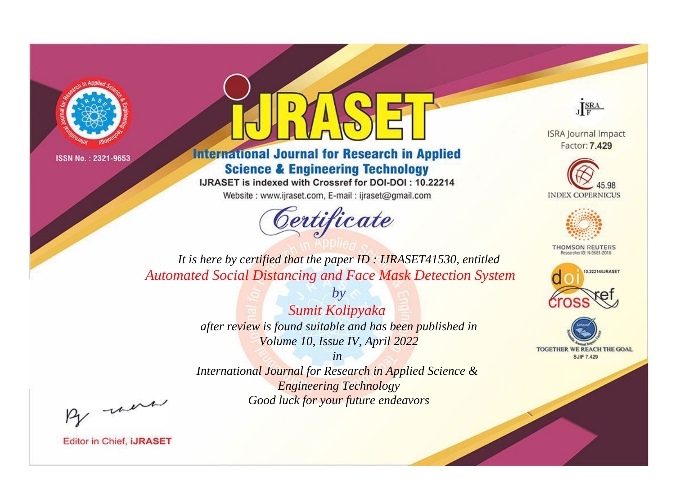



**International Journal for Research in Applied Science & Engineering Technology** 

IJRASET is indexed with Crossref for DOI-DOI: 10.22214

Website: www.ijraset.com, E-mail: ijraset@gmail.com



JERA

**ISRA Journal Impact** Factor: 7.429





**THOMSON REUTERS** 



TOGETHER WE REACH THE GOAL **SJIF 7.429** 

*It is here by certified that the paper ID : IJRASET41530, entitled Automated Social Distancing and Face Mask Detection System*

> *by Sumit Kolipyaka after review is found suitable and has been published in Volume 10, Issue IV, April 2022*

> > *in*

*International Journal for Research in Applied Science & Engineering Technology Good luck for your future endeavors*

By morn